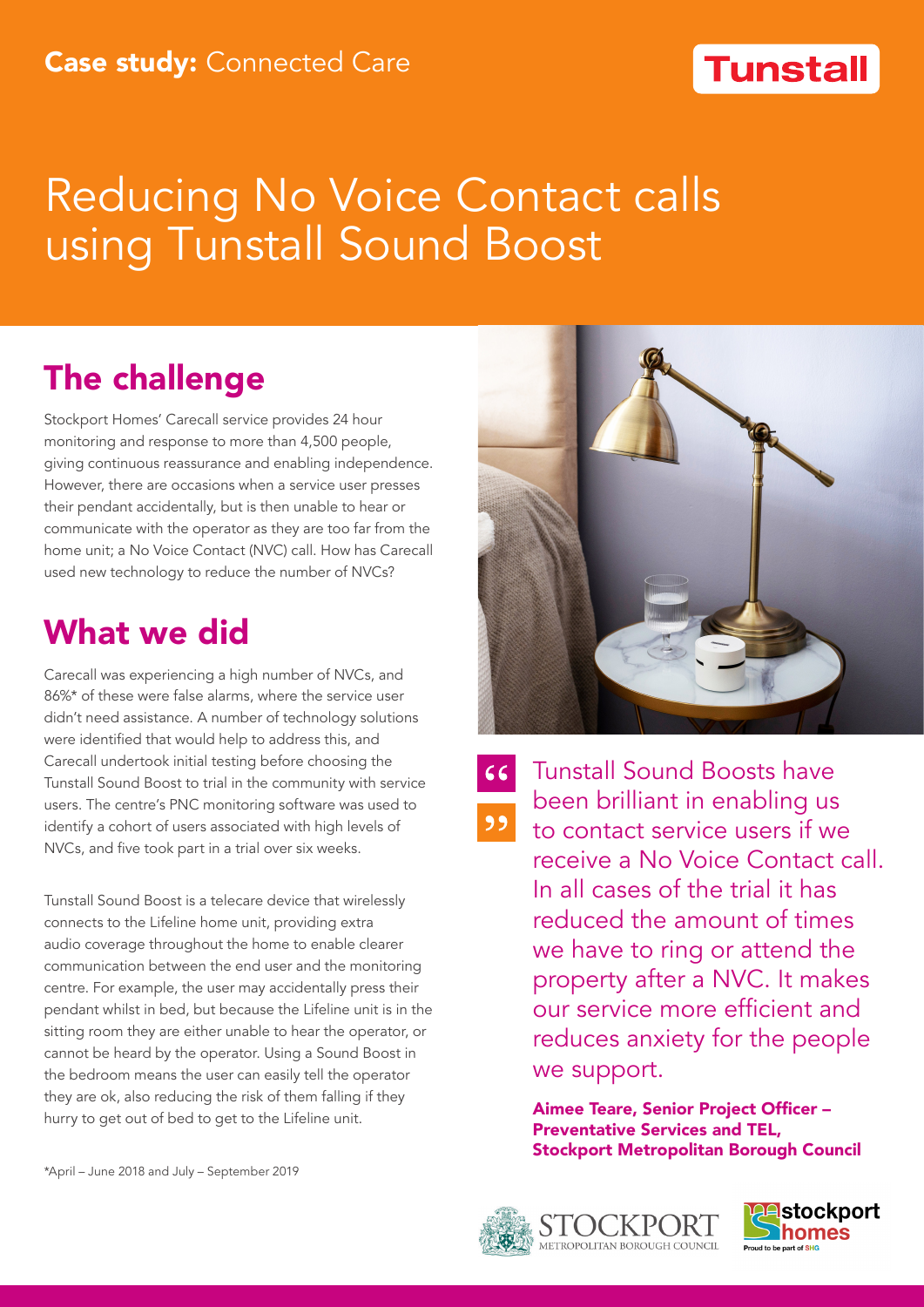#### **Tunstall**

# Reducing No Voice Contact calls using Tunstall Sound Boost

## The challenge

Stockport Homes' Carecall service provides 24 hour monitoring and response to more than 4,500 people, giving continuous reassurance and enabling independence. However, there are occasions when a service user presses their pendant accidentally, but is then unable to hear or communicate with the operator as they are too far from the home unit; a No Voice Contact (NVC) call. How has Carecall used new technology to reduce the number of NVCs?

### What we did

Carecall was experiencing a high number of NVCs, and 86%\* of these were false alarms, where the service user didn't need assistance. A number of technology solutions were identified that would help to address this, and Carecall undertook initial testing before choosing the Tunstall Sound Boost to trial in the community with service users. The centre's PNC monitoring software was used to identify a cohort of users associated with high levels of NVCs, and five took part in a trial over six weeks.

Tunstall Sound Boost is a telecare device that wirelessly connects to the Lifeline home unit, providing extra audio coverage throughout the home to enable clearer communication between the end user and the monitoring centre. For example, the user may accidentally press their pendant whilst in bed, but because the Lifeline unit is in the sitting room they are either unable to hear the operator, or cannot be heard by the operator. Using a Sound Boost in the bedroom means the user can easily tell the operator they are ok, also reducing the risk of them falling if they hurry to get out of bed to get to the Lifeline unit.



 $66$  $55$ 

Tunstall Sound Boosts have been brilliant in enabling us to contact service users if we receive a No Voice Contact call. In all cases of the trial it has reduced the amount of times we have to ring or attend the property after a NVC. It makes our service more efficient and reduces anxiety for the people we support.

Aimee Teare, Senior Project Officer – Preventative Services and TEL, Stockport Metropolitan Borough Council